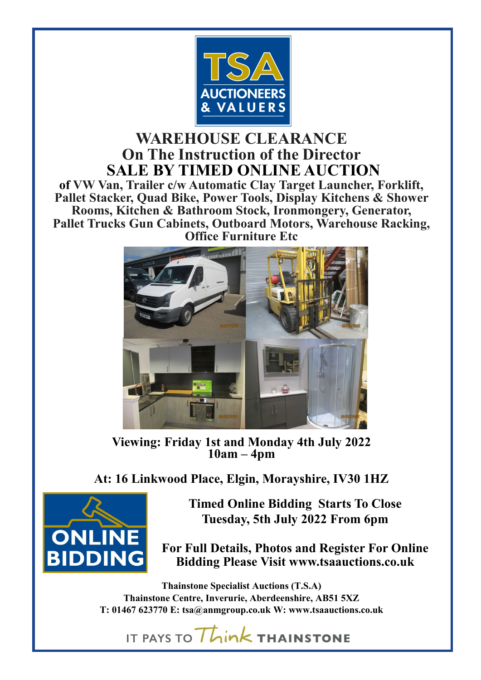

### **WAREHOUSE CLEARANCE On The Instruction of the Director SALE BY TIMED ONLINE AUCTION**

**of VW Van, Trailer c/w Automatic Clay Target Launcher, Forklift, Pallet Stacker, Quad Bike, Power Tools, Display Kitchens & Shower Rooms, Kitchen & Bathroom Stock, Ironmongery, Generator, Pallet Trucks Gun Cabinets, Outboard Motors, Warehouse Racking, Office Furniture Etc**



**Viewing: Friday 1st and Monday 4th July 2022 10am – 4pm**

**At: 16 Linkwood Place, Elgin, Morayshire, IV30 1HZ**



**Timed Online Bidding Starts To Close Tuesday, 5th July 2022 From 6pm**

**For Full Details, Photos and Register For Online Bidding Please Visit www.tsaauctions.co.uk**

**Thainstone Specialist Auctions (T.S.A) Thainstone Centre, Inverurie, Aberdeenshire, AB51 5XZ T: 01467 623770 E: [tsa@anmgroup.co.uk](mailto:tsa@anmgroup.co.uk) W: www.tsaauctions.co.uk**

IT PAYS TO Think THAINSTONE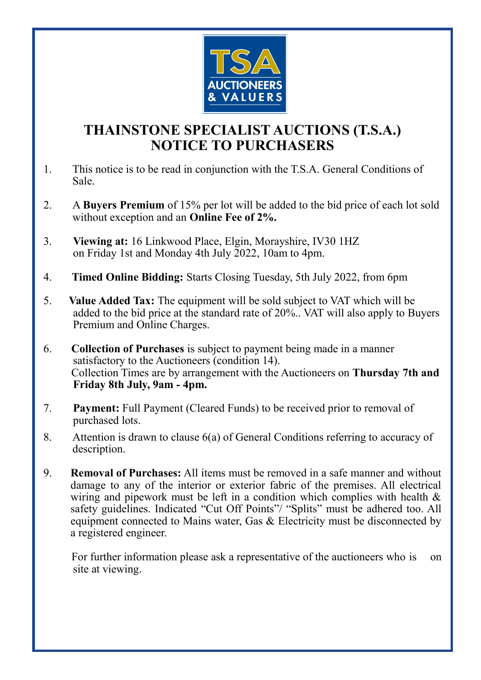

### **THAINSTONE SPECIALIST AUCTIONS (T.S.A.) NOTICE TO PURCHASERS**

- 1. This notice is to be read in conjunction with the T.S.A. General Conditions of Sale.
- 2. A **Buyers Premium** of 15% per lot will be added to the bid price of each lot sold without exception and an **Online Fee of 2%.**
- 3. **Viewing at:** 16 Linkwood Place, Elgin, Morayshire, IV30 1HZ on Friday 1st and Monday 4th July 2022, 10am to 4pm.
- 4. **Timed Online Bidding:** Starts Closing Tuesday, 5th July 2022, from 6pm
- 5. **Value Added Tax:** The equipment will be sold subject to VAT which will be added to the bid price at the standard rate of 20%.. VAT will also apply to Buyers Premium and Online Charges.
- 6. **Collection of Purchases** is subject to payment being made in a manner satisfactory to the Auctioneers (condition 14). Collection Times are by arrangement with the Auctioneers on **Thursday 7th and Friday 8th July, 9am - 4pm.**
- 7. **Payment:** Full Payment (Cleared Funds) to be received prior to removal of purchased lots.
- 8. Attention is drawn to clause 6(a) of General Conditions referring to accuracy of description.
- 9. **Removal of Purchases:** All items must be removed in a safe manner and without damage to any of the interior or exterior fabric of the premises. All electrical wiring and pipework must be left in a condition which complies with health & safety guidelines. Indicated "Cut Off Points"/ "Splits" must be adhered too. All equipment connected to Mains water, Gas & Electricity must be disconnected by a registered engineer.

For further information please ask a representative of the auctioneers who is on site at viewing.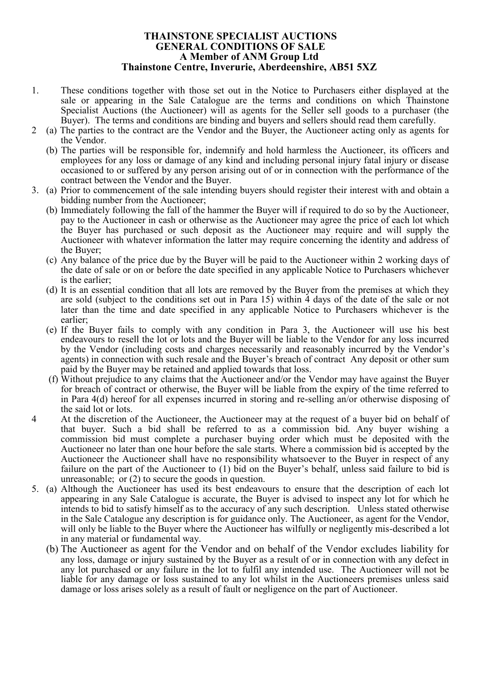### **THAINSTONE SPECIALIST AUCTIONS GENERAL CONDITIONS OF SALE A Member of ANM Group Ltd Thainstone Centre, Inverurie, Aberdeenshire, AB51 5XZ**

- 1. These conditions together with those set out in the Notice to Purchasers either displayed at the sale or appearing in the Sale Catalogue are the terms and conditions on which Thainstone Specialist Auctions (the Auctioneer) will as agents for the Seller sell goods to a purchaser (the Buyer). The terms and conditions are binding and buyers and sellers should read them carefully.
- 2 (a) The parties to the contract are the Vendor and the Buyer, the Auctioneer acting only as agents for the Vendor.
	- (b) The parties will be responsible for, indemnify and hold harmless the Auctioneer, its officers and employees for any loss or damage of any kind and including personal injury fatal injury or disease occasioned to or suffered by any person arising out of or in connection with the performance of the contract between the Vendor and the Buyer.
- 3. (a) Prior to commencement of the sale intending buyers should register their interest with and obtain a bidding number from the Auctioneer;
	- (b) Immediately following the fall of the hammer the Buyer will if required to do so by the Auctioneer, pay to the Auctioneer in cash or otherwise as the Auctioneer may agree the price of each lot which the Buyer has purchased or such deposit as the Auctioneer may require and will supply the Auctioneer with whatever information the latter may require concerning the identity and address of the Buyer;
	- (c) Any balance of the price due by the Buyer will be paid to the Auctioneer within 2 working days of the date of sale or on or before the date specified in any applicable Notice to Purchasers whichever is the earlier;
	- (d) It is an essential condition that all lots are removed by the Buyer from the premises at which they are sold (subject to the conditions set out in Para 15) within 4 days of the date of the sale or not later than the time and date specified in any applicable Notice to Purchasers whichever is the earlier;
	- (e) If the Buyer fails to comply with any condition in Para 3, the Auctioneer will use his best endeavours to resell the lot or lots and the Buyer will be liable to the Vendor for any loss incurred by the Vendor (including costs and charges necessarily and reasonably incurred by the Vendor's agents) in connection with such resale and the Buyer's breach of contract Any deposit or other sum paid by the Buyer may be retained and applied towards that loss.
	- (f) Without prejudice to any claims that the Auctioneer and/or the Vendor may have against the Buyer for breach of contract or otherwise, the Buyer will be liable from the expiry of the time referred to in Para 4(d) hereof for all expenses incurred in storing and re-selling an/or otherwise disposing of the said lot or lots.
- 4 At the discretion of the Auctioneer, the Auctioneer may at the request of a buyer bid on behalf of that buyer. Such a bid shall be referred to as a commission bid. Any buyer wishing a commission bid must complete a purchaser buying order which must be deposited with the Auctioneer no later than one hour before the sale starts. Where a commission bid is accepted by the Auctioneer the Auctioneer shall have no responsibility whatsoever to the Buyer in respect of any failure on the part of the Auctioneer to (1) bid on the Buyer's behalf, unless said failure to bid is unreasonable; or (2) to secure the goods in question.
- 5. (a) Although the Auctioneer has used its best endeavours to ensure that the description of each lot appearing in any Sale Catalogue is accurate, the Buyer is advised to inspect any lot for which he intends to bid to satisfy himself as to the accuracy of any such description. Unless stated otherwise in the Sale Catalogue any description is for guidance only. The Auctioneer, as agent for the Vendor, will only be liable to the Buyer where the Auctioneer has wilfully or negligently mis-described a lot in any material or fundamental way.
	- (b) The Auctioneer as agent for the Vendor and on behalf of the Vendor excludes liability for any loss, damage or injury sustained by the Buyer as a result of or in connection with any defect in any lot purchased or any failure in the lot to fulfil any intended use. The Auctioneer will not be liable for any damage or loss sustained to any lot whilst in the Auctioneers premises unless said damage or loss arises solely as a result of fault or negligence on the part of Auctioneer.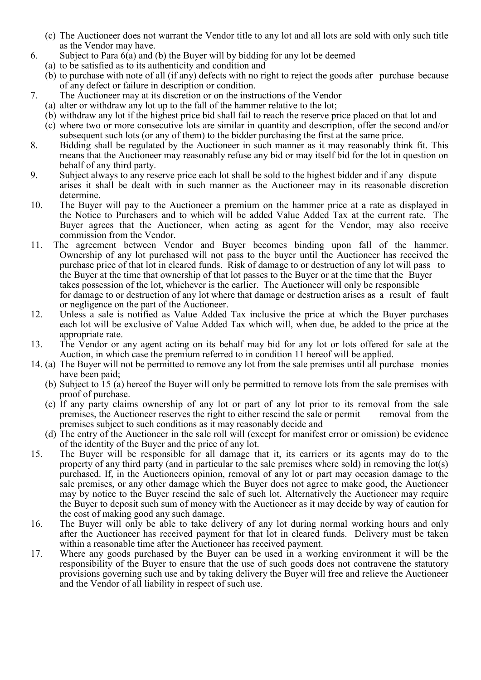- (c) The Auctioneer does not warrant the Vendor title to any lot and all lots are sold with only such title as the Vendor may have.
- 6. Subject to Para 6(a) and (b) the Buyer will by bidding for any lot be deemed
	- (a) to be satisfied as to its authenticity and condition and
	- (b) to purchase with note of all (if any) defects with no right to reject the goods after purchase because of any defect or failure in description or condition.
- 7. The Auctioneer may at its discretion or on the instructions of the Vendor
	- (a) alter or withdraw any lot up to the fall of the hammer relative to the lot;
	- (b) withdraw any lot if the highest price bid shall fail to reach the reserve price placed on that lot and
	- (c) where two or more consecutive lots are similar in quantity and description, offer the second and/or subsequent such lots (or any of them) to the bidder purchasing the first at the same price.
- 8. Bidding shall be regulated by the Auctioneer in such manner as it may reasonably think fit. This means that the Auctioneer may reasonably refuse any bid or may itself bid for the lot in question on behalf of any third party.
- 9. Subject always to any reserve price each lot shall be sold to the highest bidder and if any dispute arises it shall be dealt with in such manner as the Auctioneer may in its reasonable discretion determine.
- 10. The Buyer will pay to the Auctioneer a premium on the hammer price at a rate as displayed in the Notice to Purchasers and to which will be added Value Added Tax at the current rate. The Buyer agrees that the Auctioneer, when acting as agent for the Vendor, may also receive commission from the Vendor.
- 11. The agreement between Vendor and Buyer becomes binding upon fall of the hammer. Ownership of any lot purchased will not pass to the buyer until the Auctioneer has received the purchase price of that lot in cleared funds. Risk of damage to or destruction of any lot will pass to the Buyer at the time that ownership of that lot passes to the Buyer or at the time that the Buyer takes possession of the lot, whichever is the earlier. The Auctioneer will only be responsible for damage to or destruction of any lot where that damage or destruction arises as a result of fault or negligence on the part of the Auctioneer.
- 12. Unless a sale is notified as Value Added Tax inclusive the price at which the Buyer purchases each lot will be exclusive of Value Added Tax which will, when due, be added to the price at the appropriate rate.
- 13. The Vendor or any agent acting on its behalf may bid for any lot or lots offered for sale at the Auction, in which case the premium referred to in condition 11 hereof will be applied.
- 14. (a) The Buyer will not be permitted to remove any lot from the sale premises until all purchase monies have been paid;
	- (b) Subject to 15 (a) hereof the Buyer will only be permitted to remove lots from the sale premises with proof of purchase.
	- (c) If any party claims ownership of any lot or part of any lot prior to its removal from the sale premises, the Auctioneer reserves the right to either rescind the sale or permit removal from the premises subject to such conditions as it may reasonably decide and
	- (d) The entry of the Auctioneer in the sale roll will (except for manifest error or omission) be evidence of the identity of the Buyer and the price of any lot.
- 15. The Buyer will be responsible for all damage that it, its carriers or its agents may do to the property of any third party (and in particular to the sale premises where sold) in removing the lot(s) purchased. If, in the Auctioneers opinion, removal of any lot or part may occasion damage to the sale premises, or any other damage which the Buyer does not agree to make good, the Auctioneer may by notice to the Buyer rescind the sale of such lot. Alternatively the Auctioneer may require the Buyer to deposit such sum of money with the Auctioneer as it may decide by way of caution for the cost of making good any such damage.
- 16. The Buyer will only be able to take delivery of any lot during normal working hours and only after the Auctioneer has received payment for that lot in cleared funds. Delivery must be taken within a reasonable time after the Auctioneer has received payment.
- 17. Where any goods purchased by the Buyer can be used in a working environment it will be the responsibility of the Buyer to ensure that the use of such goods does not contravene the statutory provisions governing such use and by taking delivery the Buyer will free and relieve the Auctioneer and the Vendor of all liability in respect of such use.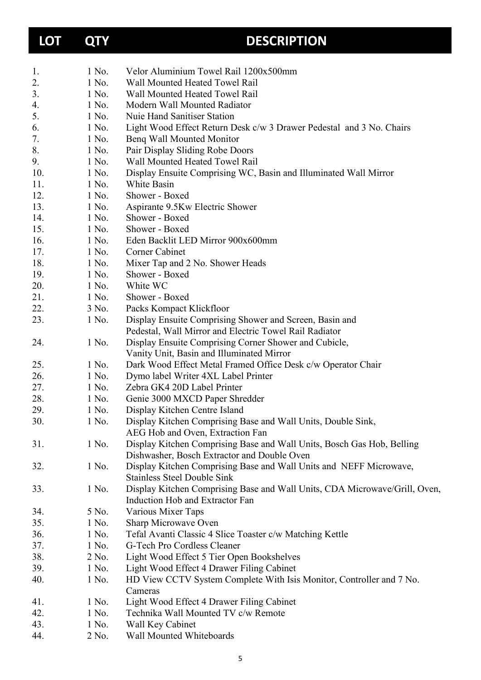# **LOT QTY DESCRIPTION**

| 1.  | 1 No.          | Velor Aluminium Towel Rail 1200x500mm                                            |
|-----|----------------|----------------------------------------------------------------------------------|
| 2.  | 1 No.          | Wall Mounted Heated Towel Rail                                                   |
| 3.  | 1 No.          | Wall Mounted Heated Towel Rail                                                   |
| 4.  | 1 No.          | Modern Wall Mounted Radiator                                                     |
| 5.  | 1 No.          | Nuie Hand Sanitiser Station                                                      |
| 6.  | 1 No.          | Light Wood Effect Return Desk c/w 3 Drawer Pedestal and 3 No. Chairs             |
| 7.  | 1 No.          | Benq Wall Mounted Monitor                                                        |
| 8.  | 1 No.          | Pair Display Sliding Robe Doors                                                  |
| 9.  | 1 No.          | Wall Mounted Heated Towel Rail                                                   |
| 10. | 1 No.          | Display Ensuite Comprising WC, Basin and Illuminated Wall Mirror                 |
| 11. | 1 No.          | White Basin                                                                      |
| 12. | 1 No.          | Shower - Boxed                                                                   |
| 13. | 1 No.          | Aspirante 9.5Kw Electric Shower                                                  |
| 14. | 1 No.          | Shower - Boxed                                                                   |
| 15. | 1 No.          | Shower - Boxed                                                                   |
| 16. | 1 No.          | Eden Backlit LED Mirror 900x600mm                                                |
| 17. | 1 No.          | Corner Cabinet                                                                   |
| 18. | 1 No.          | Mixer Tap and 2 No. Shower Heads                                                 |
| 19. | 1 No.          | Shower - Boxed                                                                   |
| 20. | 1 No.          | White WC                                                                         |
| 21. | 1 No.          | Shower - Boxed                                                                   |
| 22. | 3 No.          | Packs Kompact Klickfloor                                                         |
| 23. | 1 No.          | Display Ensuite Comprising Shower and Screen, Basin and                          |
|     |                | Pedestal, Wall Mirror and Electric Towel Rail Radiator                           |
| 24. | 1 No.          | Display Ensuite Comprising Corner Shower and Cubicle,                            |
|     |                | Vanity Unit, Basin and Illuminated Mirror                                        |
| 25. | 1 No.          | Dark Wood Effect Metal Framed Office Desk c/w Operator Chair                     |
| 26. | 1 No.          | Dymo label Writer 4XL Label Printer                                              |
| 27. | 1 No.          | Zebra GK4 20D Label Printer                                                      |
| 28. | 1 No.          | Genie 3000 MXCD Paper Shredder                                                   |
| 29. | 1 No.          | Display Kitchen Centre Island                                                    |
| 30. | 1 No.          | Display Kitchen Comprising Base and Wall Units, Double Sink,                     |
|     |                | AEG Hob and Oven, Extraction Fan                                                 |
| 31. | 1 No.          | Display Kitchen Comprising Base and Wall Units, Bosch Gas Hob, Belling           |
|     |                | Dishwasher, Bosch Extractor and Double Oven                                      |
| 32. | 1 No.          | Display Kitchen Comprising Base and Wall Units and NEFF Microwave,               |
|     |                | <b>Stainless Steel Double Sink</b>                                               |
| 33. | 1 No.          | Display Kitchen Comprising Base and Wall Units, CDA Microwave/Grill, Oven,       |
|     |                | Induction Hob and Extractor Fan                                                  |
| 34. | 5 No.          | Various Mixer Taps                                                               |
| 35. | 1 No.          | Sharp Microwave Oven                                                             |
| 36. | 1 No.          | Tefal Avanti Classic 4 Slice Toaster c/w Matching Kettle                         |
| 37. | 1 No.          | G-Tech Pro Cordless Cleaner                                                      |
| 38. | 2 No.          | Light Wood Effect 5 Tier Open Bookshelves                                        |
| 39. | 1 No.          | Light Wood Effect 4 Drawer Filing Cabinet                                        |
|     |                |                                                                                  |
| 40. | 1 No.          | HD View CCTV System Complete With Isis Monitor, Controller and 7 No.<br>Cameras  |
| 41. |                |                                                                                  |
| 42. | 1 No.<br>1 No. | Light Wood Effect 4 Drawer Filing Cabinet<br>Technika Wall Mounted TV c/w Remote |
| 43. | 1 No.          |                                                                                  |
|     |                | Wall Key Cabinet                                                                 |
| 44. | 2 No.          | Wall Mounted Whiteboards                                                         |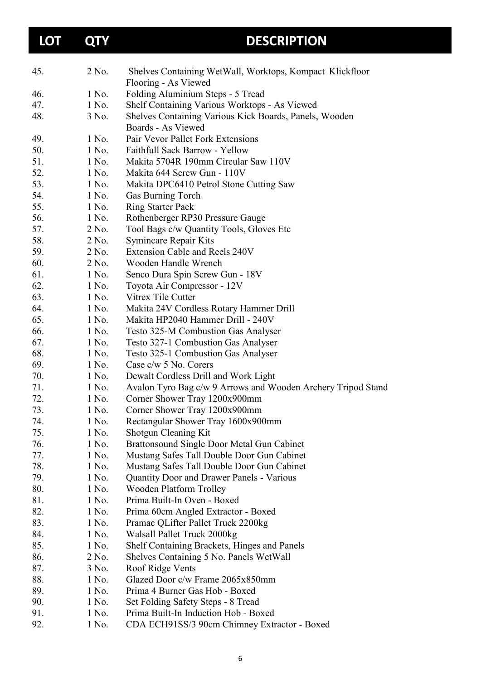| <b>LOT</b> | <b>QTY</b> | <b>DESCRIPTION</b>                                                           |
|------------|------------|------------------------------------------------------------------------------|
| 45.        | 2 No.      | Shelves Containing WetWall, Worktops, Kompact Klickfloor                     |
|            |            | Flooring - As Viewed                                                         |
| 46.        | 1 No.      | Folding Aluminium Steps - 5 Tread                                            |
| 47.        | 1 No.      | Shelf Containing Various Worktops - As Viewed                                |
| 48.        | 3 No.      | Shelves Containing Various Kick Boards, Panels, Wooden<br>Boards - As Viewed |
| 49.        | 1 No.      | Pair Vevor Pallet Fork Extensions                                            |
| 50.        | 1 No.      | Faithfull Sack Barrow - Yellow                                               |
| 51.        | 1 No.      | Makita 5704R 190mm Circular Saw 110V                                         |
| 52.        | 1 No.      | Makita 644 Screw Gun - 110V                                                  |
| 53.        | 1 No.      | Makita DPC6410 Petrol Stone Cutting Saw                                      |
| 54.        | 1 No.      | Gas Burning Torch                                                            |
| 55.        | 1 No.      | <b>Ring Starter Pack</b>                                                     |
| 56.        | 1 No.      | Rothenberger RP30 Pressure Gauge                                             |
| 57.        | 2 No.      | Tool Bags c/w Quantity Tools, Gloves Etc                                     |
| 58.        | 2 No.      | Symincare Repair Kits                                                        |
| 59.        | 2 No.      | Extension Cable and Reels 240V                                               |
| 60.        | 2 No.      | Wooden Handle Wrench                                                         |
| 61.        | 1 No.      | Senco Dura Spin Screw Gun - 18V                                              |
| 62.        | 1 No.      | Toyota Air Compressor - 12V                                                  |
| 63.        | 1 No.      | Vitrex Tile Cutter                                                           |
| 64.        | 1 No.      | Makita 24V Cordless Rotary Hammer Drill                                      |
| 65.        | 1 No.      | Makita HP2040 Hammer Drill - 240V                                            |
| 66.        | 1 No.      | Testo 325-M Combustion Gas Analyser                                          |
| 67.        | 1 No.      | Testo 327-1 Combustion Gas Analyser                                          |
| 68.        | 1 No.      | Testo 325-1 Combustion Gas Analyser                                          |
| 69.        | 1 No.      | Case c/w 5 No. Corers                                                        |
| 70.        | 1 No.      | Dewalt Cordless Drill and Work Light                                         |
| 71.        | 1 No.      | Avalon Tyro Bag c/w 9 Arrows and Wooden Archery Tripod Stand                 |
| 72.        | 1 No.      | Corner Shower Tray 1200x900mm                                                |
| 73.        | 1 No.      | Corner Shower Tray 1200x900mm                                                |
| 74.        | 1 No.      | Rectangular Shower Tray 1600x900mm                                           |
| 75.        | 1 No.      | Shotgun Cleaning Kit                                                         |
| 76.        | 1 No.      | Brattonsound Single Door Metal Gun Cabinet                                   |
| 77.        | 1 No.      | Mustang Safes Tall Double Door Gun Cabinet                                   |
| 78.        | 1 No.      | Mustang Safes Tall Double Door Gun Cabinet                                   |
| 79.        | 1 No.      | <b>Quantity Door and Drawer Panels - Various</b>                             |
| 80.        | 1 No.      | Wooden Platform Trolley                                                      |
| 81.        | 1 No.      | Prima Built-In Oven - Boxed                                                  |
| 82.        | 1 No.      | Prima 60cm Angled Extractor - Boxed                                          |
| 83.        | 1 No.      | Pramac QLifter Pallet Truck 2200kg                                           |
| 84.        | 1 No.      | Walsall Pallet Truck 2000kg                                                  |
| 85.        | 1 No.      | Shelf Containing Brackets, Hinges and Panels                                 |
| 86.        | 2 No.      | Shelves Containing 5 No. Panels WetWall                                      |
| 87.        | 3 No.      | Roof Ridge Vents                                                             |
| 88.        | 1 No.      | Glazed Door c/w Frame 2065x850mm                                             |
| 89.        | 1 No.      | Prima 4 Burner Gas Hob - Boxed                                               |
| 90.        | 1 No.      | Set Folding Safety Steps - 8 Tread                                           |
| 91.        | 1 No.      | Prima Built-In Induction Hob - Boxed                                         |
| 92.        | 1 No.      | CDA ECH91SS/3 90cm Chimney Extractor - Boxed                                 |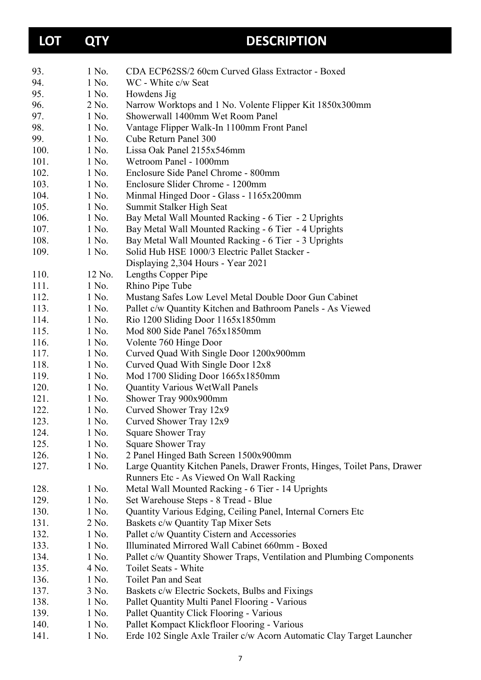| <b>LOT</b> | <b>QTY</b> | <b>DESCRIPTION</b>                                                        |
|------------|------------|---------------------------------------------------------------------------|
| 93.        | 1 No.      | CDA ECP62SS/2 60cm Curved Glass Extractor - Boxed                         |
| 94.        | 1 No.      | WC - White c/w Seat                                                       |
| 95.        | 1 No.      | Howdens Jig                                                               |
| 96.        | 2 No.      | Narrow Worktops and 1 No. Volente Flipper Kit 1850x300mm                  |
| 97.        | 1 No.      | Showerwall 1400mm Wet Room Panel                                          |
| 98.        | 1 No.      | Vantage Flipper Walk-In 1100mm Front Panel                                |
| 99.        | 1 No.      | Cube Return Panel 300                                                     |
| 100.       | 1 No.      | Lissa Oak Panel 2155x546mm                                                |
| 101.       | 1 No.      | Wetroom Panel - 1000mm                                                    |
| 102.       | 1 No.      | Enclosure Side Panel Chrome - 800mm                                       |
| 103.       | 1 No.      | Enclosure Slider Chrome - 1200mm                                          |
| 104.       | 1 No.      | Minmal Hinged Door - Glass - 1165x200mm                                   |
| 105.       | 1 No.      | Summit Stalker High Seat                                                  |
| 106.       | 1 No.      | Bay Metal Wall Mounted Racking - 6 Tier - 2 Uprights                      |
| 107.       | 1 No.      | Bay Metal Wall Mounted Racking - 6 Tier - 4 Uprights                      |
| 108.       | 1 No.      | Bay Metal Wall Mounted Racking - 6 Tier - 3 Uprights                      |
| 109.       | 1 No.      | Solid Hub HSE 1000/3 Electric Pallet Stacker -                            |
|            |            | Displaying 2,304 Hours - Year 2021                                        |
| 110.       | 12 No.     | Lengths Copper Pipe                                                       |
| 111.       | 1 No.      | Rhino Pipe Tube                                                           |
| 112.       | 1 No.      | Mustang Safes Low Level Metal Double Door Gun Cabinet                     |
| 113.       | 1 No.      | Pallet c/w Quantity Kitchen and Bathroom Panels - As Viewed               |
| 114.       | 1 No.      | Rio 1200 Sliding Door 1165x1850mm                                         |
| 115.       | 1 No.      | Mod 800 Side Panel 765x1850mm                                             |
| 116.       | 1 No.      | Volente 760 Hinge Door                                                    |
| 117.       | 1 No.      | Curved Quad With Single Door 1200x900mm                                   |
| 118.       | 1 No.      | Curved Quad With Single Door 12x8                                         |
| 119.       | 1 No.      | Mod 1700 Sliding Door 1665x1850mm                                         |
| 120.       | 1 No.      | <b>Quantity Various WetWall Panels</b>                                    |
| 121.       | 1 No.      | Shower Tray 900x900mm                                                     |
| 122.       | 1 No.      | Curved Shower Tray 12x9                                                   |
| 123.       | 1 No.      | Curved Shower Tray 12x9                                                   |
| 124.       | 1 No.      | <b>Square Shower Tray</b>                                                 |
| 125.       | 1 No.      | <b>Square Shower Tray</b>                                                 |
| 126.       | 1 No.      | 2 Panel Hinged Bath Screen 1500x900mm                                     |
| 127.       | 1 No.      | Large Quantity Kitchen Panels, Drawer Fronts, Hinges, Toilet Pans, Drawer |
|            |            | Runners Etc - As Viewed On Wall Racking                                   |
| 128.       | 1 No.      | Metal Wall Mounted Racking - 6 Tier - 14 Uprights                         |
| 129.       | 1 No.      | Set Warehouse Steps - 8 Tread - Blue                                      |
| 130.       | 1 No.      | Quantity Various Edging, Ceiling Panel, Internal Corners Etc              |
| 131.       | 2 No.      | Baskets c/w Quantity Tap Mixer Sets                                       |
| 132.       | 1 No.      | Pallet c/w Quantity Cistern and Accessories                               |
| 133.       | 1 No.      | Illuminated Mirrored Wall Cabinet 660mm - Boxed                           |
| 134.       | 1 No.      | Pallet c/w Quantity Shower Traps, Ventilation and Plumbing Components     |
| 135.       | 4 No.      | Toilet Seats - White                                                      |
| 136.       | 1 No.      | Toilet Pan and Seat                                                       |
| 137.       | 3 No.      | Baskets c/w Electric Sockets, Bulbs and Fixings                           |
| 138.       | 1 No.      | Pallet Quantity Multi Panel Flooring - Various                            |
| 139.       | 1 No.      | Pallet Quantity Click Flooring - Various                                  |
| 140.       | 1 No.      | Pallet Kompact Klickfloor Flooring - Various                              |
| 141.       | 1 No.      | Erde 102 Single Axle Trailer c/w Acorn Automatic Clay Target Launcher     |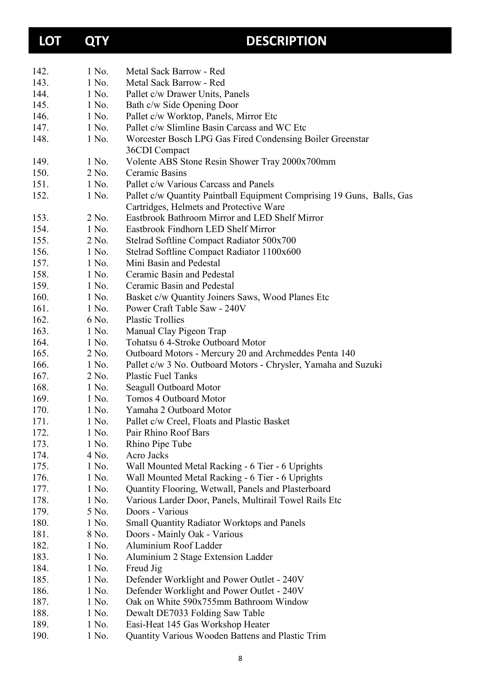# **LOT QTY DESCRIPTION**

| 142. | 1 No.   | Metal Sack Barrow - Red                                                |
|------|---------|------------------------------------------------------------------------|
| 143. | 1 No.   | Metal Sack Barrow - Red                                                |
| 144. | 1 No.   | Pallet c/w Drawer Units, Panels                                        |
| 145. | 1 No.   | Bath c/w Side Opening Door                                             |
| 146. | 1 No.   | Pallet c/w Worktop, Panels, Mirror Etc                                 |
| 147. | 1 No.   | Pallet c/w Slimline Basin Carcass and WC Etc                           |
| 148. | 1 No.   | Worcester Bosch LPG Gas Fired Condensing Boiler Greenstar              |
|      |         | 36CDI Compact                                                          |
| 149. | 1 No.   | Volente ABS Stone Resin Shower Tray 2000x700mm                         |
| 150. | $2$ No. | Ceramic Basins                                                         |
| 151. | 1 No.   | Pallet c/w Various Carcass and Panels                                  |
| 152. | 1 No.   | Pallet c/w Quantity Paintball Equipment Comprising 19 Guns, Balls, Gas |
|      |         | Cartridges, Helmets and Protective Ware                                |
| 153. | 2 No.   | Eastbrook Bathroom Mirror and LED Shelf Mirror                         |
| 154. | 1 No.   | Eastbrook Findhorn LED Shelf Mirror                                    |
| 155. | 2 No.   | Stelrad Softline Compact Radiator 500x700                              |
| 156. | 1 No.   | Stelrad Softline Compact Radiator 1100x600                             |
| 157. | 1 No.   | Mini Basin and Pedestal                                                |
| 158. | 1 No.   | Ceramic Basin and Pedestal                                             |
| 159. | 1 No.   | Ceramic Basin and Pedestal                                             |
| 160. | 1 No.   | Basket c/w Quantity Joiners Saws, Wood Planes Etc                      |
| 161. | 1 No.   | Power Craft Table Saw - 240V                                           |
| 162. | 6 No.   | <b>Plastic Trollies</b>                                                |
| 163. | 1 No.   | Manual Clay Pigeon Trap                                                |
| 164. | 1 No.   | Tohatsu 6 4-Stroke Outboard Motor                                      |
| 165. | 2 No.   | Outboard Motors - Mercury 20 and Archmeddes Penta 140                  |
| 166. | 1 No.   | Pallet c/w 3 No. Outboard Motors - Chrysler, Yamaha and Suzuki         |
| 167. | 2 No.   | <b>Plastic Fuel Tanks</b>                                              |
| 168. | 1 No.   | Seagull Outboard Motor                                                 |
| 169. | 1 No.   | <b>Tomos 4 Outboard Motor</b>                                          |
| 170. | 1 No.   | Yamaha 2 Outboard Motor                                                |
| 171. | 1 No.   | Pallet c/w Creel, Floats and Plastic Basket                            |
| 172. | 1 No.   | Pair Rhino Roof Bars                                                   |
| 173. | 1 No.   | Rhino Pipe Tube                                                        |
| 174. | 4 No.   | Acro Jacks                                                             |
| 175. | 1 No.   | Wall Mounted Metal Racking - 6 Tier - 6 Uprights                       |
| 176. | 1 No.   | Wall Mounted Metal Racking - 6 Tier - 6 Uprights                       |
| 177. | 1 No.   | Quantity Flooring, Wetwall, Panels and Plasterboard                    |
| 178. | 1 No.   | Various Larder Door, Panels, Multirail Towel Rails Etc                 |
| 179. | 5 No.   | Doors - Various                                                        |
| 180. | 1 No.   | <b>Small Quantity Radiator Worktops and Panels</b>                     |
| 181. | 8 No.   | Doors - Mainly Oak - Various                                           |
| 182. | 1 No.   | Aluminium Roof Ladder                                                  |
| 183. | 1 No.   | Aluminium 2 Stage Extension Ladder                                     |
| 184. | 1 No.   | Freud Jig                                                              |
| 185. | 1 No.   | Defender Worklight and Power Outlet - 240V                             |
| 186. | 1 No.   | Defender Worklight and Power Outlet - 240V                             |
| 187. | 1 No.   | Oak on White 590x755mm Bathroom Window                                 |
| 188. | 1 No.   | Dewalt DE7033 Folding Saw Table                                        |
| 189. | 1 No.   | Easi-Heat 145 Gas Workshop Heater                                      |
| 190. | 1 No.   | Quantity Various Wooden Battens and Plastic Trim                       |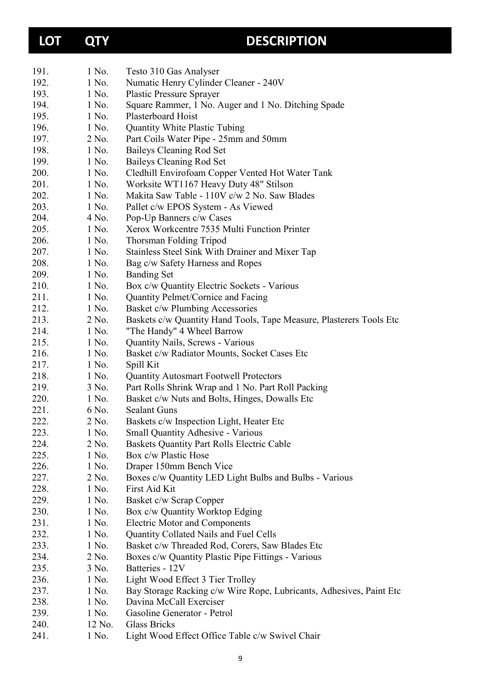# **LOT QTY DESCRIPTION**

| 191. | 1 No.  | Testo 310 Gas Analyser                                              |
|------|--------|---------------------------------------------------------------------|
| 192. | 1 No.  | Numatic Henry Cylinder Cleaner - 240V                               |
| 193. | 1 No.  | <b>Plastic Pressure Sprayer</b>                                     |
| 194. | 1 No.  | Square Rammer, 1 No. Auger and 1 No. Ditching Spade                 |
| 195. | 1 No.  | Plasterboard Hoist                                                  |
| 196. | 1 No.  | <b>Quantity White Plastic Tubing</b>                                |
| 197. | 2 No.  | Part Coils Water Pipe - 25mm and 50mm                               |
| 198. | 1 No.  | <b>Baileys Cleaning Rod Set</b>                                     |
| 199. | 1 No.  | Baileys Cleaning Rod Set                                            |
| 200. | 1 No.  | Cledhill Envirofoam Copper Vented Hot Water Tank                    |
| 201. | 1 No.  | Worksite WT1167 Heavy Duty 48" Stilson                              |
| 202. | 1 No.  | Makita Saw Table - 110V c/w 2 No. Saw Blades                        |
| 203. | 1 No.  | Pallet c/w EPOS System - As Viewed                                  |
| 204. | 4 No.  | Pop-Up Banners c/w Cases                                            |
| 205. | 1 No.  | Xerox Workcentre 7535 Multi Function Printer                        |
| 206. | 1 No.  | Thorsman Folding Tripod                                             |
| 207. | 1 No.  | Stainless Steel Sink With Drainer and Mixer Tap                     |
| 208. | 1 No.  | Bag c/w Safety Harness and Ropes                                    |
| 209. | 1 No.  | <b>Banding Set</b>                                                  |
| 210. | 1 No.  | Box c/w Quantity Electric Sockets - Various                         |
| 211. | 1 No.  | Quantity Pelmet/Cornice and Facing                                  |
| 212. | 1 No.  | Basket c/w Plumbing Accessories                                     |
| 213. | 2 No.  | Baskets c/w Quantity Hand Tools, Tape Measure, Plasterers Tools Etc |
| 214. | 1 No.  | "The Handy" 4 Wheel Barrow                                          |
| 215. | 1 No.  | Quantity Nails, Screws - Various                                    |
| 216. | 1 No.  | Basket c/w Radiator Mounts, Socket Cases Etc                        |
| 217. | 1 No.  | Spill Kit                                                           |
| 218. | 1 No.  | <b>Quantity Autosmart Footwell Protectors</b>                       |
| 219. | 3 No.  | Part Rolls Shrink Wrap and 1 No. Part Roll Packing                  |
| 220. | 1 No.  | Basket c/w Nuts and Bolts, Hinges, Dowalls Etc                      |
| 221. | 6 No.  | <b>Sealant Guns</b>                                                 |
| 222. | 2 No.  | Baskets c/w Inspection Light, Heater Etc                            |
| 223. | 1 No.  | <b>Small Quantity Adhesive - Various</b>                            |
| 224. | 2 No.  | Baskets Quantity Part Rolls Electric Cable                          |
| 225. | 1 No.  | Box c/w Plastic Hose                                                |
| 226. | 1 No.  | Draper 150mm Bench Vice                                             |
| 227. | 2 No.  | Boxes c/w Quantity LED Light Bulbs and Bulbs - Various              |
| 228. | 1 No.  | First Aid Kit                                                       |
| 229. | 1 No.  | Basket c/w Scrap Copper                                             |
| 230. | 1 No.  | Box c/w Quantity Worktop Edging                                     |
| 231. | 1 No.  | <b>Electric Motor and Components</b>                                |
| 232. | 1 No.  | Quantity Collated Nails and Fuel Cells                              |
| 233. | 1 No.  | Basket c/w Threaded Rod, Corers, Saw Blades Etc                     |
| 234. | 2 No.  | Boxes c/w Quantity Plastic Pipe Fittings - Various                  |
| 235. | 3 No.  | Batteries - 12V                                                     |
| 236. | 1 No.  | Light Wood Effect 3 Tier Trolley                                    |
| 237. | 1 No.  | Bay Storage Racking c/w Wire Rope, Lubricants, Adhesives, Paint Etc |
| 238. | 1 No.  | Davina McCall Exerciser                                             |
| 239. | 1 No.  | Gasoline Generator - Petrol                                         |
| 240. | 12 No. | Glass Bricks                                                        |
| 241. | 1 No.  | Light Wood Effect Office Table c/w Swivel Chair                     |
|      |        |                                                                     |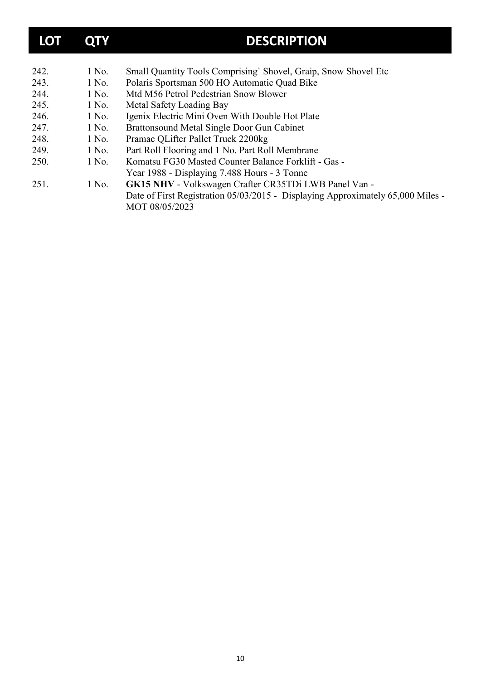| <b>LOT</b> | QTY   | <b>DESCRIPTION</b>                                                              |
|------------|-------|---------------------------------------------------------------------------------|
|            |       |                                                                                 |
| 242.       | 1 No. | Small Quantity Tools Comprising' Shovel, Graip, Snow Shovel Etc                 |
| 243.       | 1 No. | Polaris Sportsman 500 HO Automatic Quad Bike                                    |
| 244.       | 1 No. | Mtd M56 Petrol Pedestrian Snow Blower                                           |
| 245.       | 1 No. | Metal Safety Loading Bay                                                        |
| 246.       | 1 No. | Igenix Electric Mini Oven With Double Hot Plate                                 |
| 247.       | 1 No. | Brattonsound Metal Single Door Gun Cabinet                                      |
| 248.       | 1 No. | Pramac QLifter Pallet Truck 2200kg                                              |
| 249.       | 1 No. | Part Roll Flooring and 1 No. Part Roll Membrane                                 |
| 250.       | 1 No. | Komatsu FG30 Masted Counter Balance Forklift - Gas -                            |
|            |       | Year 1988 - Displaying 7,488 Hours - 3 Tonne                                    |
| 251.       | 1 No. | GK15 NHV - Volkswagen Crafter CR35TDi LWB Panel Van -                           |
|            |       | Date of First Registration 05/03/2015 - Displaying Approximately 65,000 Miles - |
|            |       | MOT 08/05/2023                                                                  |
|            |       |                                                                                 |